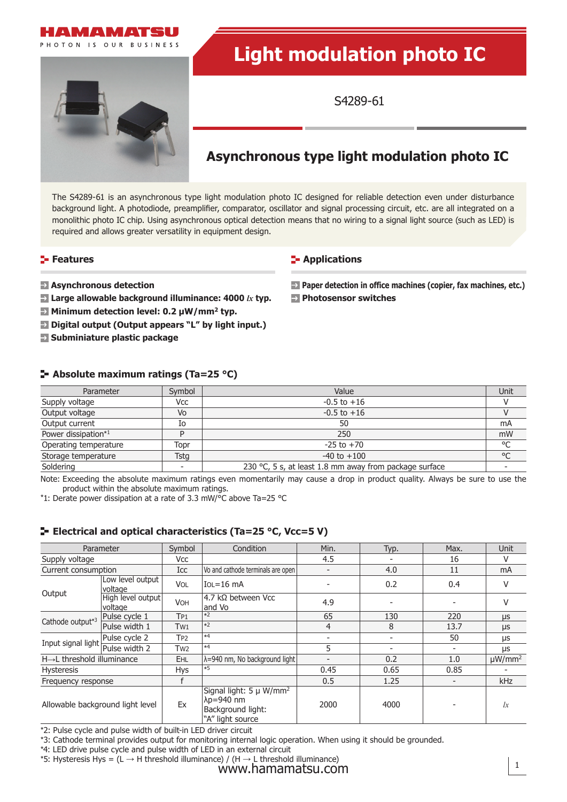



# **Light modulation photo IC**

S4289-61

## **Asynchronous type light modulation photo IC**

The S4289-61 is an asynchronous type light modulation photo IC designed for reliable detection even under disturbance background light. A photodiode, preamplifier, comparator, oscillator and signal processing circuit, etc. are all integrated on a monolithic photo IC chip. Using asynchronous optical detection means that no wiring to a signal light source (such as LED) is required and allows greater versatility in equipment design.

## **Features**

## **Applications**

- **Asynchronous detection**
- **Large allowable background illuminance: 4000** *lx* **typ.**
- **E** Minimum detection level: 0.2 µW/mm<sup>2</sup> typ.
- *Digital output (Output appears "L" by light input.)*
- **Subminiature plastic package**

**Paper detection in office machines (copier, fax machines, etc.) Photosensor switches**

## **Absolute maximum ratings (Ta=25 °C)**

| Parameter             | Symbol | Value                                                  | Unit         |
|-----------------------|--------|--------------------------------------------------------|--------------|
| Supply voltage        | Vcc    | $-0.5$ to $+16$                                        |              |
| Output voltage        | Vo     | $-0.5$ to $+16$                                        |              |
| Output current        | Io     | 50                                                     | mA           |
| Power dissipation*1   |        | 250                                                    | mW           |
| Operating temperature | Topr   | $-25$ to $+70$                                         | °C           |
| Storage temperature   | Tstg   | $-40$ to $+100$                                        | $^{\circ}$ C |
| Soldering             |        | 230 °C, 5 s, at least 1.8 mm away from package surface |              |

Note: Exceeding the absolute maximum ratings even momentarily may cause a drop in product quality. Always be sure to use the product within the absolute maximum ratings.

\*1: Derate power dissipation at a rate of 3.3 mW/°C above Ta=25 °C

## **E-** Electrical and optical characteristics (Ta=25 °C, Vcc=5 V)

|                                                    | Parameter                    | Symbol          | Condition                                                                          | Min.                     | Typ. | Max.                     | <b>Unit</b>             |
|----------------------------------------------------|------------------------------|-----------------|------------------------------------------------------------------------------------|--------------------------|------|--------------------------|-------------------------|
| Supply voltage                                     |                              | Vcc             |                                                                                    | 4.5                      |      | 16                       | V                       |
| Current consumption                                |                              | Icc             | Vo and cathode terminals are open                                                  | ۰                        | 4.0  | 11                       | mA                      |
| Output                                             | Low level output<br>voltage  | <b>VOL</b>      | $IOL = 16$ mA                                                                      |                          | 0.2  | 0.4                      | ٧                       |
|                                                    | High level output<br>voltage | <b>VOH</b>      | $4.7$ $\overline{k}$ between Vcc<br>and Vo                                         | 4.9                      |      |                          | V                       |
| Pulse cycle 1<br>Cathode output*3<br>Pulse width 1 |                              | TP1             | $*2$                                                                               | 65                       | 130  | 220                      | $\mu s$                 |
|                                                    |                              | T <sub>W1</sub> | $*2$                                                                               | 4                        | 8    | 13.7                     | μs                      |
| Input signal light                                 | Pulse cycle 2                | T <sub>P2</sub> | $*4$                                                                               | $\overline{\phantom{0}}$ |      | 50                       | μs                      |
|                                                    | Pulse width 2                | Tw <sub>2</sub> | $*4$                                                                               | 5                        |      | $\overline{\phantom{0}}$ | μs                      |
| $H\rightarrow L$ threshold illuminance             |                              | <b>EHL</b>      | λ=940 nm, No background light                                                      | $\overline{\phantom{a}}$ | 0.2  | 1.0                      | $\mu$ W/mm <sup>2</sup> |
| <b>Hysteresis</b>                                  |                              | Hys             | $*5$                                                                               | 0.45                     | 0.65 | 0.85                     |                         |
| Frequency response                                 |                              |                 |                                                                                    | 0.5                      | 1.25 | $\overline{\phantom{a}}$ | kHz                     |
| Allowable background light level                   |                              | Ex              | Signal light: $5 \mu W/mm^2$<br>λp=940 nm<br>Background light:<br>"A" light source | 2000                     | 4000 |                          | lx                      |

\*2: Pulse cycle and pulse width of built-in LED driver circuit

\*3: Cathode terminal provides output for monitoring internal logic operation. When using it should be grounded.

\*4: LED drive pulse cycle and pulse width of LED in an external circuit

\*5: Hysteresis Hys = (L  $\rightarrow$  H threshold illuminance) / (H  $\rightarrow$  L threshold illuminance)

www.hamamatsu.com  $1<sup>1</sup>$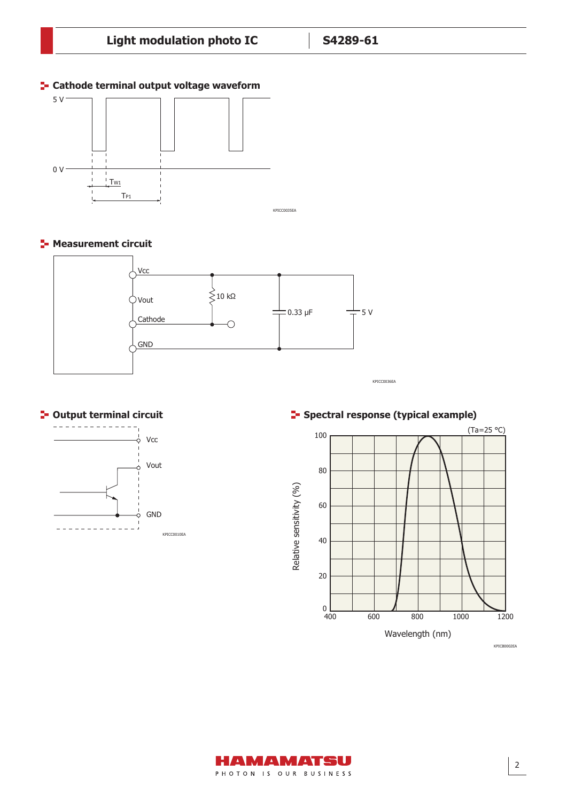## **E-** Cathode terminal output voltage waveform



**F-** Measurement circuit



**C**- Output terminal circuit



**E-** Spectral response (typical example)



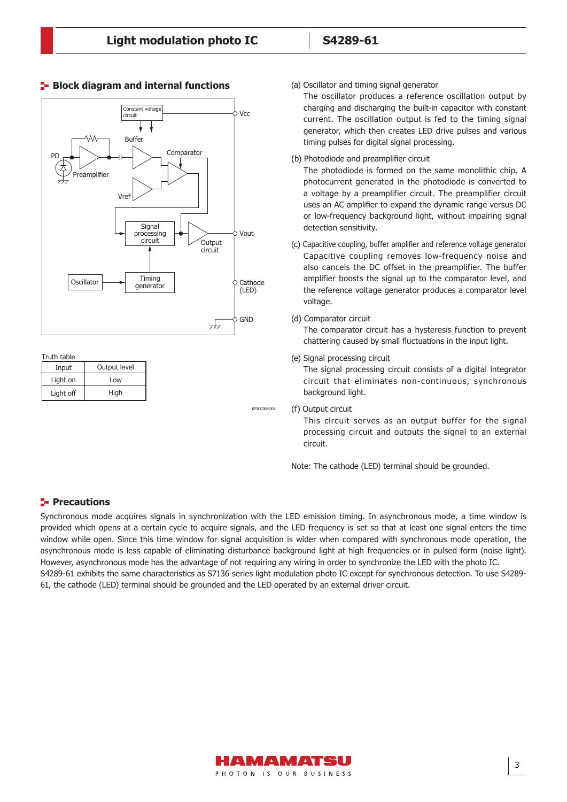

## **Block diagram and internal functions**

#### Truth table

| Input     | Output level |  |  |
|-----------|--------------|--|--|
| Light on  | Low          |  |  |
| Light off | High         |  |  |

KPICC0040EA

(a) Oscillator and timing signal generator

The oscillator produces a reference oscillation output by charging and discharging the built-in capacitor with constant current. The oscillation output is fed to the timing signal generator, which then creates LED drive pulses and various timing pulses for digital signal processing.

(b) Photodiode and preamplifier circuit

The photodiode is formed on the same monolithic chip. A photocurrent generated in the photodiode is converted to a voltage by a preamplifier circuit. The preamplifier circuit uses an AC amplifier to expand the dynamic range versus DC or low-frequency background light, without impairing signal detection sensitivity.

(c) Capacitive coupling, buffer amplifier and reference voltage generator Capacitive coupling removes low-frequency noise and also cancels the DC offset in the preamplifier. The buffer amplifier boosts the signal up to the comparator level, and the reference voltage generator produces a comparator level voltage.

#### (d) Comparator circuit

The comparator circuit has a hysteresis function to prevent chattering caused by small fluctuations in the input light.

(e) Signal processing circuit

The signal processing circuit consists of a digital integrator circuit that eliminates non-continuous, synchronous background light.

(f) Output circuit

This circuit serves as an output buffer for the signal processing circuit and outputs the signal to an external circuit.

Note: The cathode (LED) terminal should be grounded.

## **Precautions**

Synchronous mode acquires signals in synchronization with the LED emission timing. In asynchronous mode, a time window is provided which opens at a certain cycle to acquire signals, and the LED frequency is set so that at least one signal enters the time window while open. Since this time window for signal acquisition is wider when compared with synchronous mode operation, the asynchronous mode is less capable of eliminating disturbance background light at high frequencies or in pulsed form (noise light). However, asynchronous mode has the advantage of not requiring any wiring in order to synchronize the LED with the photo IC. S4289-61 exhibits the same characteristics as S7136 series light modulation photo IC except for synchronous detection. To use S4289- 61, the cathode (LED) terminal should be grounded and the LED operated by an external driver circuit.